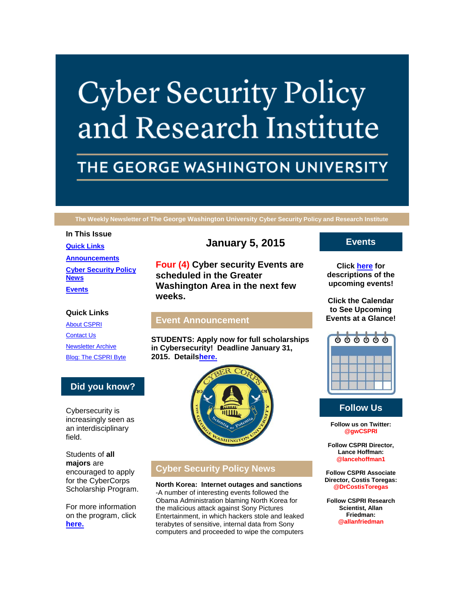# **Cyber Security Policy** and Research Institute

## THE GEORGE WASHINGTON UNIVERSITY

**The Weekly Newsletter of The George Washington University Cyber Security Policy and Research Institute**

**In This Issue [Quick Links](https://mail.google.com/mail/u/0/#14abb295af77e34c_LETTER.BLOCK5) [Announcements](https://mail.google.com/mail/u/0/#14abb295af77e34c_LETTER.BLOCK22) [Cyber Security Policy](https://mail.google.com/mail/u/0/#14abb295af77e34c_LETTER.BLOCK30)  [News](https://mail.google.com/mail/u/0/#14abb295af77e34c_LETTER.BLOCK30) [Events](https://mail.google.com/mail/u/0/#14abb295af77e34c_LETTER.BLOCK34)**

**January 5, 2015**

**Four (4) Cyber security Events are scheduled in the Greater Washington Area in the next few weeks.**

#### **Quick Links**

[About CSPRI](http://r20.rs6.net/tn.jsp?f=001RKIf5gxQGsRKgpL--0qvZMtqSpGKQBSEpDcRO71cBAFN6N-FspKIasYE-f27lHkG1tg9YIsGBCctEi4LK3R85CiW2iN6Toi9h8Wx2eGvmgk_KoODUQlhMjqkjdGLjUFJyiajYTmhUK2w6Izy_9Cv-5LUu62V8nAcuR3xbPadJl2rhw_jrYAZKQu_vLH_qDmu&c=vMpeK2bfQo0ohU0h5T2cAG40ERMdgzMefEylqUZj-lei8tPP4_gxGQ==&ch=vpjMmxWrJZuXp7-X-tZkpQLFPxWMUSl7Yz0SE0lcWyRPYBRcXQ3Kvg==) [Contact Us](http://r20.rs6.net/tn.jsp?f=001RKIf5gxQGsRKgpL--0qvZMtqSpGKQBSEpDcRO71cBAFN6N-FspKIasYE-f27lHkGixr79oIf0vAAWVZvp0GRLuzt0u77Ti8zXoAWQEd8mD95X1udDc5bkoTBXHbIoE14zz9R_GqXMyfV8SDXXOJ-5kVUMh2YxmaC0Z0bhoeaishJOlwimKLJihN3m1IQlx-DokyZwFrvrFs=&c=vMpeK2bfQo0ohU0h5T2cAG40ERMdgzMefEylqUZj-lei8tPP4_gxGQ==&ch=vpjMmxWrJZuXp7-X-tZkpQLFPxWMUSl7Yz0SE0lcWyRPYBRcXQ3Kvg==) [Newsletter Archive](http://r20.rs6.net/tn.jsp?f=001RKIf5gxQGsRKgpL--0qvZMtqSpGKQBSEpDcRO71cBAFN6N-FspKIasYE-f27lHkGGXRiD4HDPGKWN6XTK7NfUwQSouD9myEiTrCREvRzWDx71EgiiGVxm6XrXMyHHKJpQLlJ6_Qp5j_P-o9zBxXsxgrcyuat3dLqNCb-NhdkG-P1eCfJjPveLNEXFhFkuvQ1RDKw8PI31WI=&c=vMpeK2bfQo0ohU0h5T2cAG40ERMdgzMefEylqUZj-lei8tPP4_gxGQ==&ch=vpjMmxWrJZuXp7-X-tZkpQLFPxWMUSl7Yz0SE0lcWyRPYBRcXQ3Kvg==) [Blog: The CSPRI Byte](http://r20.rs6.net/tn.jsp?f=001RKIf5gxQGsRKgpL--0qvZMtqSpGKQBSEpDcRO71cBAFN6N-FspKIasYE-f27lHkGRu0s2g04G_G34mxKWCXF1gjAZCKgiBbrgOkWJEgS9d7odR94xl5Oph9w-Da4k3LDbalC7EMJjWBJqfx2Jxp7JJaSAV3OBXK0koq9wI5aL0akx-gB5kxKui7BwrxADjl4&c=vMpeK2bfQo0ohU0h5T2cAG40ERMdgzMefEylqUZj-lei8tPP4_gxGQ==&ch=vpjMmxWrJZuXp7-X-tZkpQLFPxWMUSl7Yz0SE0lcWyRPYBRcXQ3Kvg==)

#### **Did you know?**

Cybersecurity is increasingly seen as an interdisciplinary field.

Students of **all majors** are encouraged to apply for the CyberCorps Scholarship Program.

For more information on the program, click **[here.](http://r20.rs6.net/tn.jsp?f=001RKIf5gxQGsRKgpL--0qvZMtqSpGKQBSEpDcRO71cBAFN6N-FspKIalByswxoUY2cZG-ltA8pOrLbxwtkTBbkdssA-701vNtb2Ts4jdF5ojZWICl5LOLWipW31C5fdYASGQ0SX6vt5HroxDu57lyYi5smRrB-haK1x4TwcaViNeuCYSlFdywWjfJ45-MM1tsM&c=vMpeK2bfQo0ohU0h5T2cAG40ERMdgzMefEylqUZj-lei8tPP4_gxGQ==&ch=vpjMmxWrJZuXp7-X-tZkpQLFPxWMUSl7Yz0SE0lcWyRPYBRcXQ3Kvg==)**

#### **Event Announcement**

**STUDENTS: Apply now for full scholarships in Cybersecurity! Deadline January 31, 2015. Detail[shere.](http://r20.rs6.net/tn.jsp?f=001RKIf5gxQGsRKgpL--0qvZMtqSpGKQBSEpDcRO71cBAFN6N-FspKIalByswxoUY2cZG-ltA8pOrLbxwtkTBbkdssA-701vNtb2Ts4jdF5ojZWICl5LOLWipW31C5fdYASGQ0SX6vt5HroxDu57lyYi5smRrB-haK1x4TwcaViNeuCYSlFdywWjfJ45-MM1tsM&c=vMpeK2bfQo0ohU0h5T2cAG40ERMdgzMefEylqUZj-lei8tPP4_gxGQ==&ch=vpjMmxWrJZuXp7-X-tZkpQLFPxWMUSl7Yz0SE0lcWyRPYBRcXQ3Kvg==)**



### **Cyber Security Policy News**

**North Korea: Internet outages and sanctions** -A number of interesting events followed the

Obama Administration blaming North Korea for the malicious attack against Sony Pictures Entertainment, in which hackers stole and leaked terabytes of sensitive, internal data from Sony computers and proceeded to wipe the computers

#### **Events**

**Click [here](http://r20.rs6.net/tn.jsp?f=001RKIf5gxQGsRKgpL--0qvZMtqSpGKQBSEpDcRO71cBAFN6N-FspKIasYE-f27lHkGsliaEEnd0ftb5QKjXETCrvqVCBW0yEOzeTzzPnRhc_NNhM2sccOQqlrvhkmDl4NA-Ac9xNVmlTaMCHybX74rtswEkavwYhFoZG7W_FwhyrwWZGb7974jQN0JgPLguCSOu4i-48wwxkw3niWvhXNGtg==&c=vMpeK2bfQo0ohU0h5T2cAG40ERMdgzMefEylqUZj-lei8tPP4_gxGQ==&ch=vpjMmxWrJZuXp7-X-tZkpQLFPxWMUSl7Yz0SE0lcWyRPYBRcXQ3Kvg==) for descriptions of the upcoming events!**

**Click the Calendar to See Upcoming Events at a Glance!**



#### **Follow Us**

**Follow us on Twitter: @gwCSPRI**

**Follow CSPRI Director, Lance Hoffman: @lancehoffman1**

**Follow CSPRI Associate Director, Costis Toregas: @DrCostisToregas**

**Follow CSPRI Research Scientist, Allan Friedman: @allanfriedman**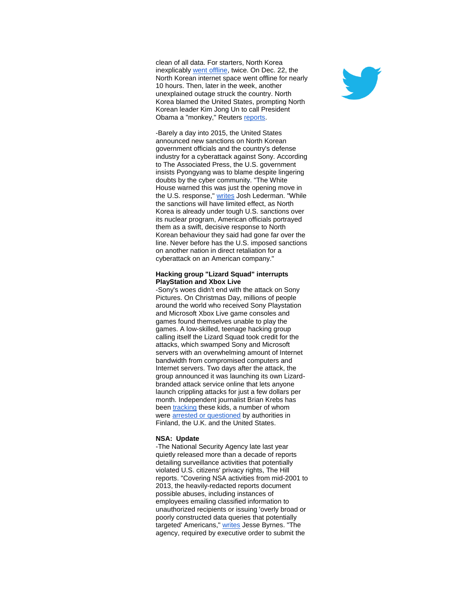clean of all data. For starters, North Korea inexplicably [went offline,](http://r20.rs6.net/tn.jsp?f=001RKIf5gxQGsRKgpL--0qvZMtqSpGKQBSEpDcRO71cBAFN6N-FspKIarUTk61zJJxptb8iYyKujdT22bziKgD7K6Pw4y4TAuhsPIDRrSee66k68P_G98TLr7QuJtoDEGSzTgTP41_6tyaM21Roc6B_IPnAFT2I5VRL-3pBq0ArbaqOQ_nYG_LHSnmQab3y0demioM3XECY7YJHmj-PevKVPj1_BsgcHDd5VxwvvuQMlc-q7tCKysAmiE8qarIJKdrNHgrd3RXaiBHihviQoSeqYA==&c=vMpeK2bfQo0ohU0h5T2cAG40ERMdgzMefEylqUZj-lei8tPP4_gxGQ==&ch=vpjMmxWrJZuXp7-X-tZkpQLFPxWMUSl7Yz0SE0lcWyRPYBRcXQ3Kvg==) twice. On Dec. 22, the North Korean internet space went offline for nearly 10 hours. Then, later in the week, another unexplained outage struck the country. North Korea blamed the United States, prompting North Korean leader Kim Jong Un to call President Obama a "monkey," Reuters [reports.](http://r20.rs6.net/tn.jsp?f=001RKIf5gxQGsRKgpL--0qvZMtqSpGKQBSEpDcRO71cBAFN6N-FspKIarUTk61zJJxp3aWNptIswrbt5VdI1MD2fisb3a8kB8SgyHV6WysDUbriCia10Wc8czl3ERdqjCtvCOohs0heLu39-Jcy2JM9P17zCj5c_g0dcIwba7-HFrhnU-MvauvGrBl_vM42rREpvtlFBcTqp1HeJZORGxlnbkzZYAiorsQ_xGp8YanOthOB6ZK6wUIPrYGsDWGgptThDvng-tCgoeaBCtk5xn2qwA==&c=vMpeK2bfQo0ohU0h5T2cAG40ERMdgzMefEylqUZj-lei8tPP4_gxGQ==&ch=vpjMmxWrJZuXp7-X-tZkpQLFPxWMUSl7Yz0SE0lcWyRPYBRcXQ3Kvg==)

-Barely a day into 2015, the United States announced new sanctions on North Korean government officials and the country's defense industry for a cyberattack against Sony. According to The Associated Press, the U.S. government insists Pyongyang was to blame despite lingering doubts by the cyber community. "The White House warned this was just the opening move in the U.S. response," [writes](http://r20.rs6.net/tn.jsp?f=001RKIf5gxQGsRKgpL--0qvZMtqSpGKQBSEpDcRO71cBAFN6N-FspKIarUTk61zJJxpFXzp9QhCspAWUG4MLZqYDYpmry8oqTjGSR3uuIwCl9CrjqJkCZ51DT0-iZiazLh93NU3PESm8RTGOfVYETELTTdH7KmTPCMkAKK48d3eu_YOHdtR05sGQc0PW0yh707zxaM1Md6zEHRwurTVDj9lCaenEcOxabV7aLrdkR8F4q6Ci0yFN23GbaXR-fI6sHTZKIsJYw011JXbi7gEnvkBEU7X4XmoVzNBjGcQs8n_4q2JhYFWnoH2zA==&c=vMpeK2bfQo0ohU0h5T2cAG40ERMdgzMefEylqUZj-lei8tPP4_gxGQ==&ch=vpjMmxWrJZuXp7-X-tZkpQLFPxWMUSl7Yz0SE0lcWyRPYBRcXQ3Kvg==) Josh Lederman. "While the sanctions will have limited effect, as North Korea is already under tough U.S. sanctions over its nuclear program, American officials portrayed them as a swift, decisive response to North Korean behaviour they said had gone far over the line. Never before has the U.S. imposed sanctions on another nation in direct retaliation for a cyberattack on an American company."

#### **Hacking group "Lizard Squad" interrupts PlayStation and Xbox Live**

-Sony's woes didn't end with the attack on Sony Pictures. On Christmas Day, millions of people around the world who received Sony Playstation and Microsoft Xbox Live game consoles and games found themselves unable to play the games. A low-skilled, teenage hacking group calling itself the Lizard Squad took credit for the attacks, which swamped Sony and Microsoft servers with an overwhelming amount of Internet bandwidth from compromised computers and Internet servers. Two days after the attack, the group announced it was launching its own Lizardbranded attack service online that lets anyone launch crippling attacks for just a few dollars per month. Independent journalist Brian Krebs has been [tracking](http://r20.rs6.net/tn.jsp?f=001RKIf5gxQGsRKgpL--0qvZMtqSpGKQBSEpDcRO71cBAFN6N-FspKIarUTk61zJJxpVrGH-Vcydc1f6xuweqkIUQPsygsXmUF8rgori3STweEeOZcBgL7zgn3dKfTeE285sT_AcAxAjrQfWh27LkbjydcKezuKTd61hWocRs5jxV58ci824NvJoljMkHC7n4_iW_vm30NKLpNrT99E0GFQyGDwT8UsPyznuL-gAVzzeCU=&c=vMpeK2bfQo0ohU0h5T2cAG40ERMdgzMefEylqUZj-lei8tPP4_gxGQ==&ch=vpjMmxWrJZuXp7-X-tZkpQLFPxWMUSl7Yz0SE0lcWyRPYBRcXQ3Kvg==) these kids, a number of whom were [arrested or questioned](http://r20.rs6.net/tn.jsp?f=001RKIf5gxQGsRKgpL--0qvZMtqSpGKQBSEpDcRO71cBAFN6N-FspKIarUTk61zJJxpDybcfRxRE21xXxgjejMviX-1kXgWsEOqSjBWNqlo6ELqfIetz0OY1Nu0O6sx7HU-aXpG4xpguvezUT8nzwyA3zQ6mzUv9AikcvbKvOWAsC4WgSehDWIbLvMVE785KtlxmiINB6FFtOEyss6BiMtC-yhb1PujsMeo2htS665_mIwSJvGDFaV1_w==&c=vMpeK2bfQo0ohU0h5T2cAG40ERMdgzMefEylqUZj-lei8tPP4_gxGQ==&ch=vpjMmxWrJZuXp7-X-tZkpQLFPxWMUSl7Yz0SE0lcWyRPYBRcXQ3Kvg==) by authorities in Finland, the U.K. and the United States.

#### **NSA: Update**

-The National Security Agency late last year quietly released more than a decade of reports detailing surveillance activities that potentially violated U.S. citizens' privacy rights, The Hill reports. "Covering NSA activities from mid-2001 to 2013, the heavily-redacted reports document possible abuses, including instances of employees emailing classified information to unauthorized recipients or issuing 'overly broad or poorly constructed data queries that potentially targeted' Americans," [writes](http://r20.rs6.net/tn.jsp?f=001RKIf5gxQGsRKgpL--0qvZMtqSpGKQBSEpDcRO71cBAFN6N-FspKIarUTk61zJJxpknCOtIxpCSgsK5U_ZaH0lGy7ZJr_CmscW3AFVD8Mqp0UpRFGwuNqL4ZNqCVzog32sS0PrHWjjBNAOR63UX9kJ3I2kOXg78Qm227Q1lx3jei2zPB44kwhhjFM-gzIf6AN3sUoSMqRZRMukEyqJr2NhVShvYdSLtWdyfvgMug_cTyeEs0TTS1zznijuBVo66HB&c=vMpeK2bfQo0ohU0h5T2cAG40ERMdgzMefEylqUZj-lei8tPP4_gxGQ==&ch=vpjMmxWrJZuXp7-X-tZkpQLFPxWMUSl7Yz0SE0lcWyRPYBRcXQ3Kvg==) Jesse Byrnes. "The agency, required by executive order to submit the